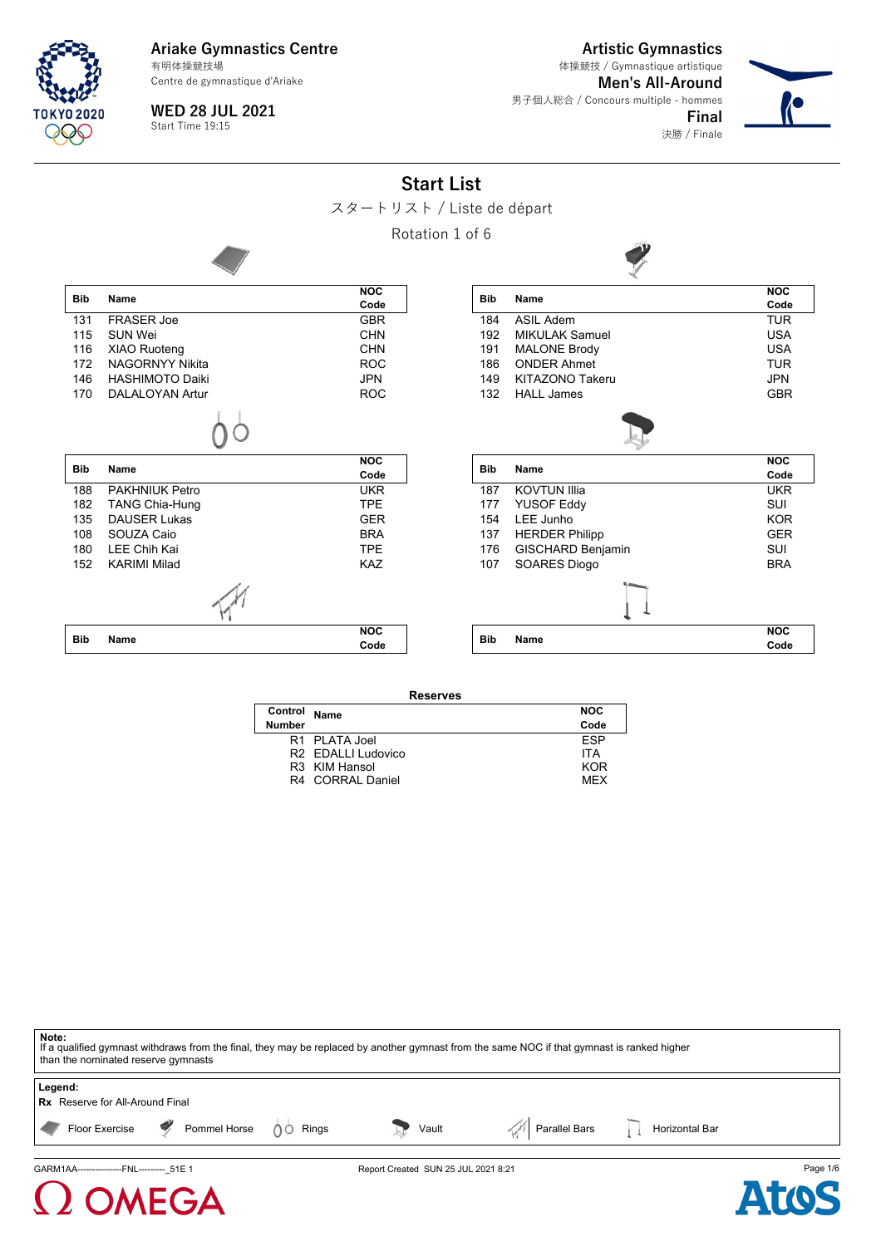Centre de gymnastique d'Ariake

**Artistic Gymnastics**

決勝 / Finale

**Men's All-Around** 男子個人総合 / Concours multiple - hommes **Final** 体操競技 / Gymnastique artistique



 $\Omega$  OMEGA

**WED 28 JUL 2021** Start Time 19:15



スタートリスト / Liste de départ

Rotation 1 of 6



| Control Name  |                  | <b>NOC</b> |
|---------------|------------------|------------|
| <b>Number</b> |                  | Code       |
|               | R1 PLATA Joel    | <b>FSP</b> |
|               | R2 FDALLLUdovico | <b>ITA</b> |
|               | R3 KIM Hansol    | KOR        |
|               | R4 CORRAL Daniel | <b>MFX</b> |
|               |                  |            |

| Note:<br>If a qualified gymnast withdraws from the final, they may be replaced by another gymnast from the same NOC if that gymnast is ranked higher<br>than the nominated reserve gymnasts |  |                                     |  |                                |          |
|---------------------------------------------------------------------------------------------------------------------------------------------------------------------------------------------|--|-------------------------------------|--|--------------------------------|----------|
| Legend:<br><b>Rx</b> Reserve for All-Around Final                                                                                                                                           |  |                                     |  |                                |          |
| Floor Exercise P Pommel Horse 00 Rings                                                                                                                                                      |  | Vault                               |  | Parallel Bars   Horizontal Bar |          |
| GARM1AA----------------FNL--------- 51E 1                                                                                                                                                   |  | Report Created SUN 25 JUL 2021 8:21 |  |                                | Page 1/6 |

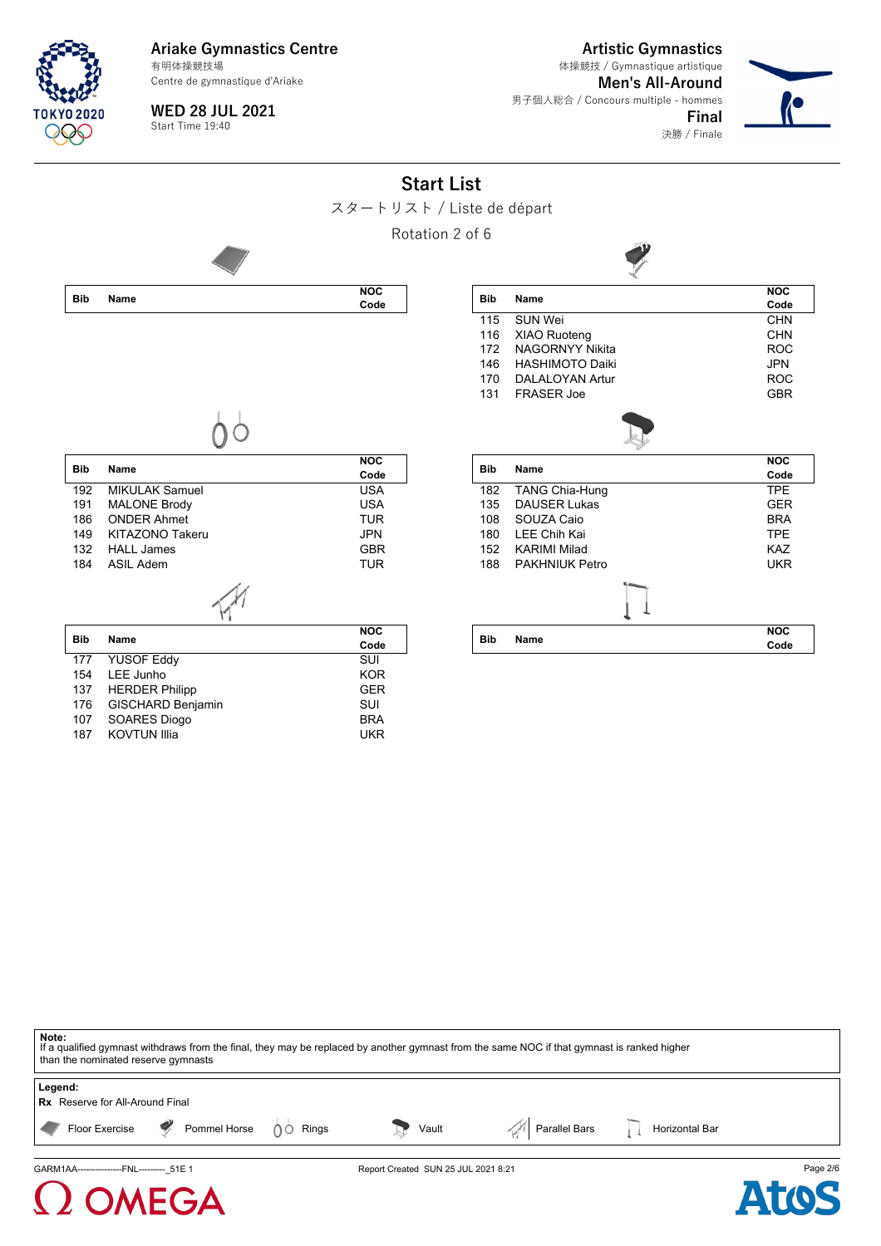Centre de gymnastique d'Ariake

**Artistic Gymnastics**

決勝 / Finale

**Men's All-Around** 男子個人総合 / Concours multiple - hommes **Final** 体操競技 / Gymnastique artistique



TNKYN 2020

**WED 28 JUL 2021** Start Time 19:40

| <b>Start List</b>         |  |  |
|---------------------------|--|--|
| スタートリスト / Liste de départ |  |  |

Rotation 2 of 6



| <b>Bib</b> | Name                   | <b>NOC</b> |
|------------|------------------------|------------|
|            |                        | Code       |
| 115        | SUN Wei                | <b>CHN</b> |
| 116        | <b>XIAO Ruoteng</b>    | CHN        |
| 172        | <b>NAGORNYY Nikita</b> | <b>ROC</b> |
| 146        | <b>HASHIMOTO Daiki</b> | JPN        |
| 170        | DAI AI OYAN Artur      | <b>ROC</b> |
| 131        | <b>FRASER Joe</b>      | <b>GBR</b> |
|            |                        |            |
| <b>Bib</b> | Name                   | <b>NOC</b> |
|            |                        | Code       |
| 182        | <b>TANG Chia-Hung</b>  | <b>TPE</b> |
| 135        | DAUSER Lukas           | GFR        |
| 108        | SOUZA Caio             | <b>BRA</b> |
| 180        | I FF Chih Kai          | <b>TPE</b> |
| 152        | KARIMI Milad           | KA7        |
| 188        | PAKHNIUK Petro         | <b>UKR</b> |
|            |                        |            |
| <b>Bib</b> | Name                   | <b>NOC</b> |
|            |                        | Code       |

 $\mathbf{v}$ 

|--|--|

| Bib        | Name                     | <b>NOC</b> |
|------------|--------------------------|------------|
|            |                          | Code       |
| 192        | <b>MIKULAK Samuel</b>    | USA        |
| 191        | <b>MALONE Brody</b>      | USA        |
| 186        | <b>ONDER Ahmet</b>       | TUR        |
| 149        | KITAZONO Takeru          | JPN        |
| 132        | <b>HALL James</b>        | GBR        |
| 184        | ASII Adem                | TUR        |
|            |                          |            |
|            |                          |            |
|            |                          | <b>NOC</b> |
| <b>Bib</b> | Name                     | Code       |
| 177        | <b>YUSOF Eddy</b>        | SUI        |
| 154        | LEE Junho                | <b>KOR</b> |
| 137        | <b>HERDER Philipp</b>    | <b>GER</b> |
| 176        | <b>GISCHARD Benjamin</b> | SUI        |
| 107        | <b>SOARES Diogo</b>      | <b>BRA</b> |
| 187        | <b>KOVTUN Illia</b>      | UKR        |

**Note:**<br>If a qualified gymnast withdraws from the final, they may be replaced by another gymnast from the same NOC if that gymnast is ranked higher than the nominated reserve gymnasts **Legend: Rx** Reserve for All-Around Final

Floor Exercise  $\Box$  Pommel Horse  $\Box$  Rings Vault  $\Box$  Parallel Bars  $\Box$  Horizontal Bar

GARM1AA-----------------FNL------------51E 1 **Page 2/6** Report Created SUN 25 JUL 2021 8:21 **Page 2/6** 

EGA

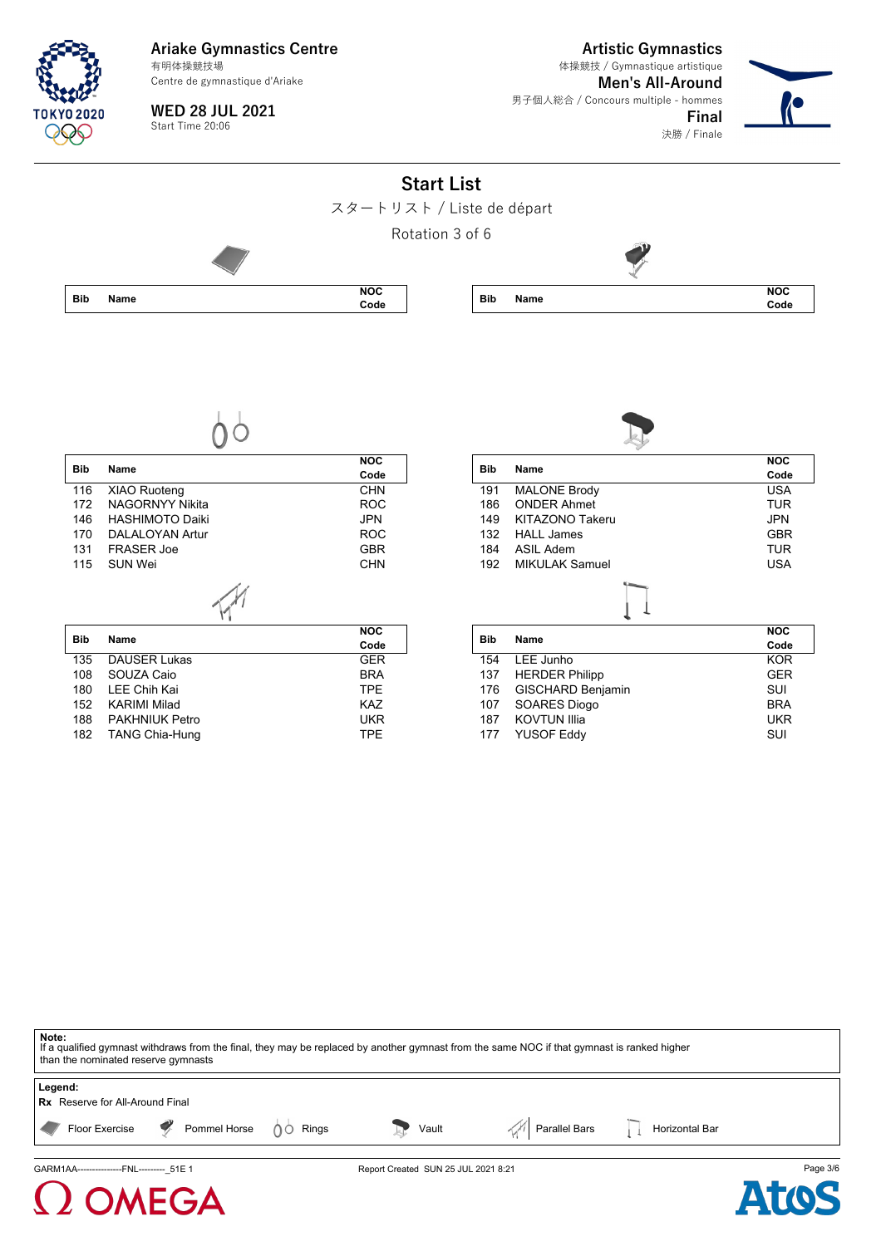Centre de gymnastique d'Ariake

**WED 28 JUL 2021** Start Time 20:06

**Artistic Gymnastics Men's All-Around** 男子個人総合 / Concours multiple - hommes 体操競技 / Gymnastique artistique

**Final**





**Note:** If a qualified gymnast withdraws from the final, they may be replaced by another gymnast from the same NOC if that gymnast is ranked higher than the nominated reserve gymnasts **Legend: Rx** Reserve for All-Around Final Floor Exercise **P**ommel Horse 00 Rings Vault Parallel Bars Horizontal Bars Horizontal Bars **Parallel Bars** GARM1AA---------------FNL---------\_51E 1 Report Created SUN 25 JUL 2021 8:21 Page 3/6



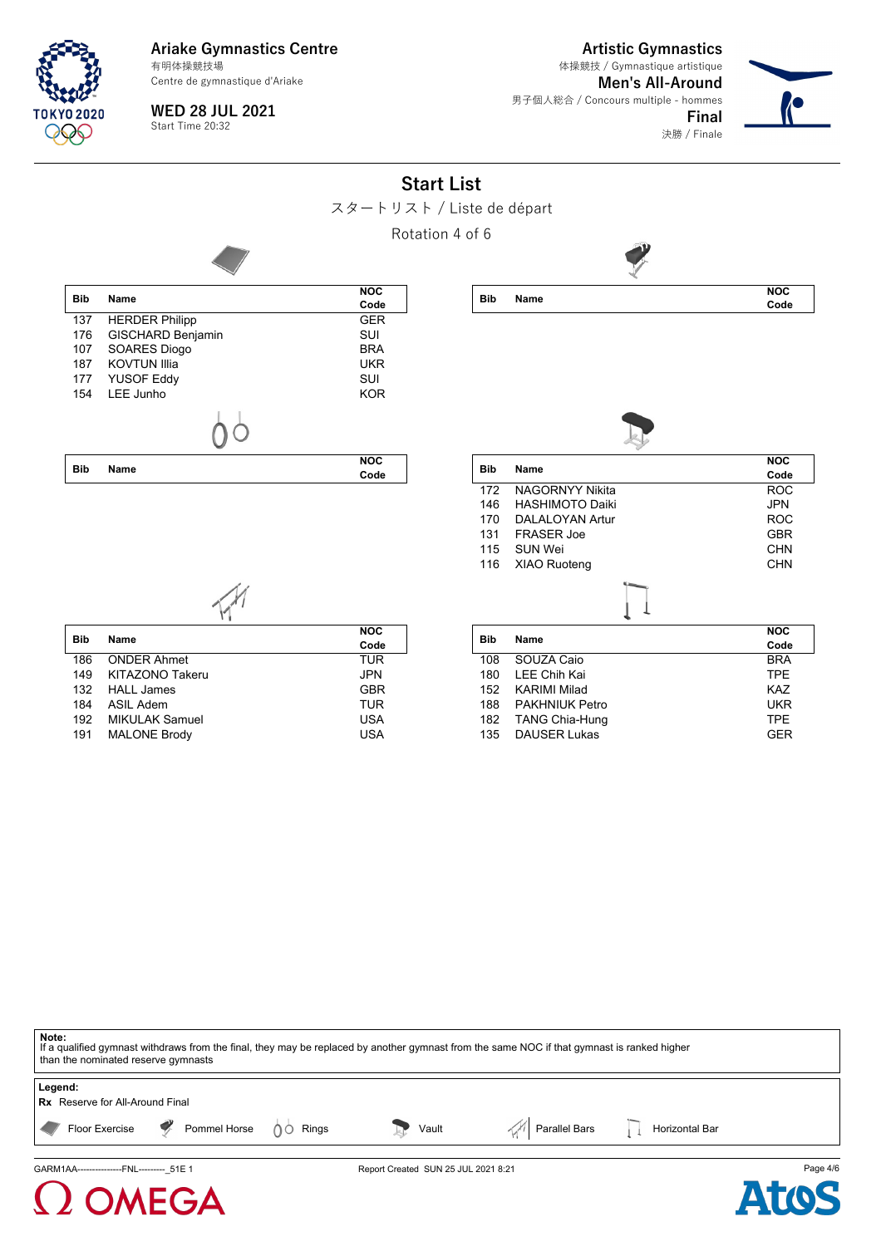Centre de gymnastique d'Ariake

**WED 28 JUL 2021** Start Time 20:32

**Artistic Gymnastics**

決勝 / Finale

**Men's All-Around** 男子個人総合 / Concours multiple - hommes **Final** 体操競技 / Gymnastique artistique



**Start List** スタートリスト / Liste de départ Rotation 4 of 6 **Bib Name NOC Code** 137 HERDER Philipp GER 176 GISCHARD Benjamin SUI<br>107 SOARES Diogo BRA 107 SOARES Diogo 187 KOVTUN Illia **International Communist Communist Communist Communist Communist Communist Communist Communist C**<br>1990 November 2001 1991 No. 1991 No. 1991 No. 1992 No. 1993 No. 1993 No. 1994 No. 1994 No. 1994 No. 1994 No YUSOF Eddy 154 LEE Junho KOR **Bib Name NOC Code Bib Name NOC Code** Bib Name **NOC Code** 172 NAGORNYY Nikita ROC 146 HASHIMOTO Daiki 1999 - JPN JPN 170 DALALOYAN Artur 170 DALALOYAN Artur 131 FRASER Joe GBR 115 SUN Wei CHN 116 XIAO Ruoteng CHN **Bib Name NOC Code** 186 ONDER Ahmet TUR 149 KITAZONO Takeru JPN HALL James 184 ASIL Adem **TUR**<br>192 MIKULAK Samuel **TUR** USA MIKULAK Samuel 191 MALONE Brody **USA Bib Name NOC Code** 108 SOUZA Caio BRA<br>180 LEE Chih Kai TPE 180 LEE Chih Kai 1999 - TPE TPE 152 KARIMI Milad KARIMI Milad 188 PAKHNIUK Petro UKR TANG Chia-Hung 135 DAUSER Lukas GER

**Note:** If a qualified gymnast withdraws from the final, they may be replaced by another gymnast from the same NOC if that gymnast is ranked higher than the nominated reserve gymnasts **Legend: Rx** Reserve for All-Around Final Floor Exercise **P**ommel Horse 00 Rings Vault Parallel Bars Horizontal Bars Horizontal Bars **Parallel Bars** GARM1AA---------------FNL---------\_51E 1 Report Created SUN 25 JUL 2021 8:21 Page 4/6

## FGA

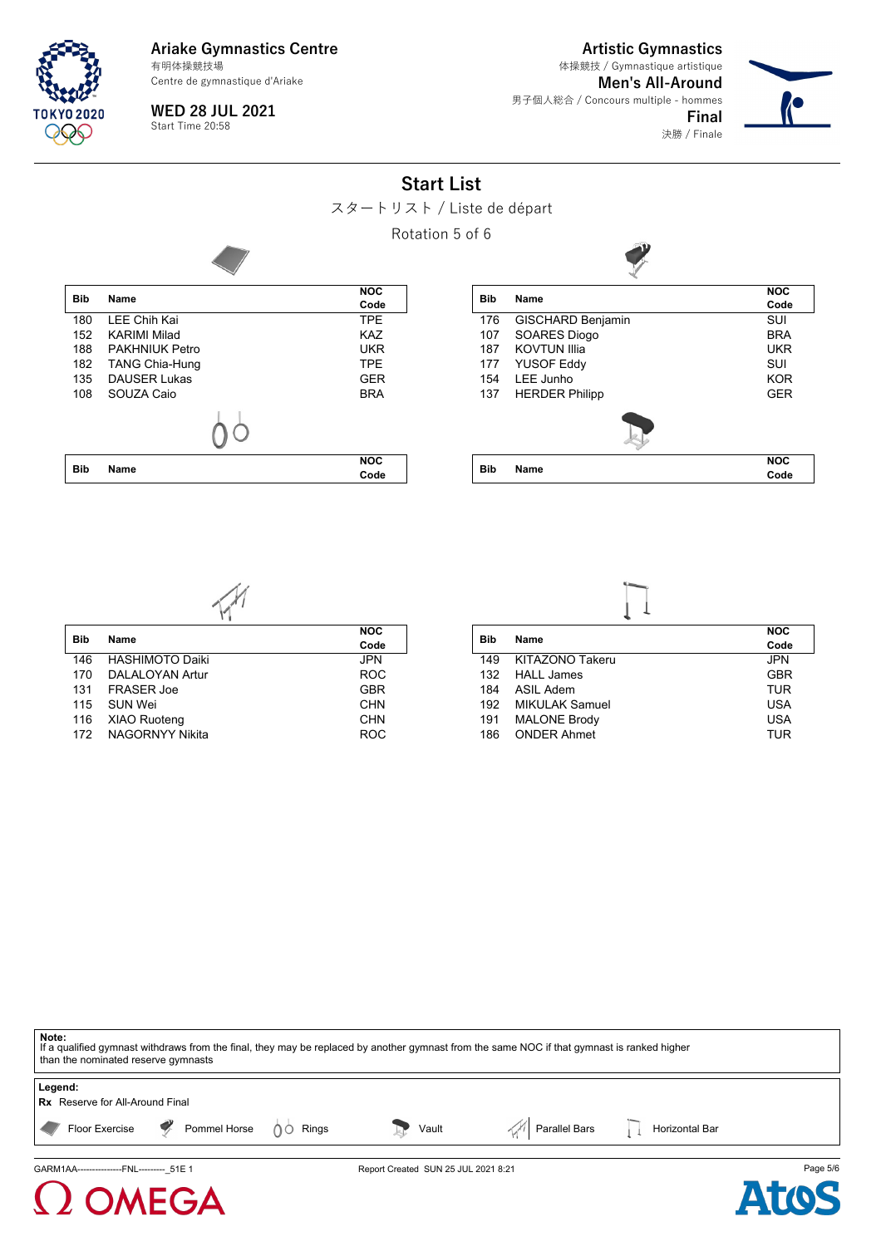Centre de gymnastique d'Ariake

**Artistic Gymnastics**

決勝 / Finale

**Men's All-Around** 男子個人総合 / Concours multiple - hommes **Final** 体操競技 / Gymnastique artistique



**WED 28 JUL 2021** Start Time 20:58

**Start List**





| <b>Bib</b> | Name                   | <b>NOC</b> |
|------------|------------------------|------------|
|            |                        | Code       |
| 146        | <b>HASHIMOTO Daiki</b> | <b>JPN</b> |
| 170        | DALALOYAN Artur        | <b>ROC</b> |
| 131        | <b>FRASER Joe</b>      | <b>GBR</b> |
| 115        | <b>SUN Wei</b>         | <b>CHN</b> |
| 116        | <b>XIAO Ruoteng</b>    | <b>CHN</b> |

172 NAGORNYY Nikita ROC

FGA

**Bib Name**

XIAO Ruoteng

| <b>Bib</b> | <b>Name</b>         | <b>NOC</b> |
|------------|---------------------|------------|
|            |                     | Code       |
| 149        | KITAZONO Takeru     | <b>JPN</b> |
|            | 132 HALL James      | <b>GBR</b> |
| 184        | ASII Adem           | TUR        |
| 192        | MIKULAK Samuel      | USA        |
| 191        | <b>MALONE Brody</b> | <b>USA</b> |
| 186        | <b>ONDER Ahmet</b>  | TUR        |
|            |                     |            |